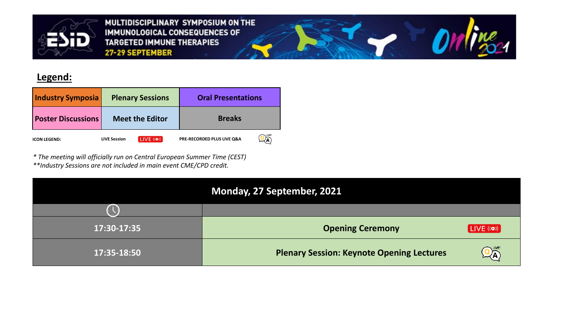

MULTIDISCIPLINARY SYMPOSIUM ON THE IMMUNOLOGICAL CONSEQUENCES OF **TARGETED IMMUNE THERAPIES** 27-29 SEPTEMBER

## **Legend:**

| <b>Industry Symposia</b>  | <b>Plenary Sessions</b>                       | <b>Oral Presentations</b>  |  |
|---------------------------|-----------------------------------------------|----------------------------|--|
| <b>Poster Discussions</b> | <b>Meet the Editor</b>                        | <b>Breaks</b>              |  |
| <b>ICON LEGEND:</b>       | $LIVE$ (( $\bullet$ ))<br><b>LIVE Session</b> | PRE-RECORDED PLUS LIVE Q&A |  |

*\* The meeting will officially run on Central European Summer Time (CEST)*

*\*\*Industry Sessions are not included in main event CME/CPD credit.*

| Monday, 27 September, 2021 |                                                  |                                        |  |  |
|----------------------------|--------------------------------------------------|----------------------------------------|--|--|
|                            |                                                  |                                        |  |  |
| 17:30-17:35                | <b>Opening Ceremony</b>                          | [LIVE (6)]                             |  |  |
| 17:35-18:50                | <b>Plenary Session: Keynote Opening Lectures</b> | $\mathbf{Q}_{\mathbf{A}}^{\text{LNE}}$ |  |  |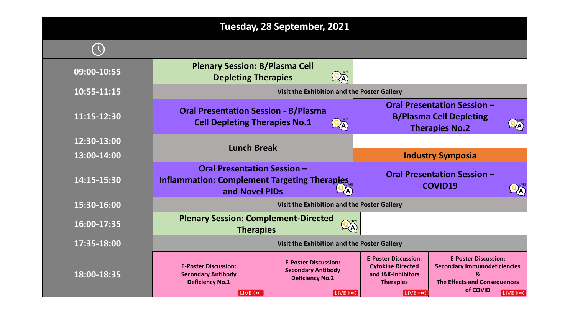| Tuesday, 28 September, 2021 |                                                                                                                 |                                                                                                  |                                                                                                                 |                                                                                                                            |                                               |
|-----------------------------|-----------------------------------------------------------------------------------------------------------------|--------------------------------------------------------------------------------------------------|-----------------------------------------------------------------------------------------------------------------|----------------------------------------------------------------------------------------------------------------------------|-----------------------------------------------|
|                             |                                                                                                                 |                                                                                                  |                                                                                                                 |                                                                                                                            |                                               |
| 09:00-10:55                 | <b>Plenary Session: B/Plasma Cell</b><br><b>Depleting Therapies</b>                                             | $\mathbf{Q}_{\mathbf{A}}^{\text{\tiny LNE}}$                                                     |                                                                                                                 |                                                                                                                            |                                               |
| 10:55-11:15                 | Visit the Exhibition and the Poster Gallery                                                                     |                                                                                                  |                                                                                                                 |                                                                                                                            |                                               |
| 11:15-12:30                 | <b>Oral Presentation Session - B/Plasma</b><br><b>Cell Depleting Therapies No.1</b><br>$\overline{\mathcal{A}}$ |                                                                                                  | <b>Oral Presentation Session -</b><br><b>B/Plasma Cell Depleting</b><br><b>Therapies No.2</b>                   |                                                                                                                            | $\mathbf{Q}_{\mathbf{A}}^{\text{\tiny{LWE}}}$ |
| 12:30-13:00                 | <b>Lunch Break</b>                                                                                              |                                                                                                  |                                                                                                                 |                                                                                                                            |                                               |
| 13:00-14:00                 |                                                                                                                 |                                                                                                  | <b>Industry Symposia</b>                                                                                        |                                                                                                                            |                                               |
| 14:15-15:30                 | <b>Oral Presentation Session -</b><br><b>Inflammation: Complement Targeting Therapies</b><br>and Novel PIDs     |                                                                                                  |                                                                                                                 | <b>Oral Presentation Session -</b><br><b>COVID19</b>                                                                       |                                               |
| 15:30-16:00                 | Visit the Exhibition and the Poster Gallery                                                                     |                                                                                                  |                                                                                                                 |                                                                                                                            |                                               |
| 16:00-17:35                 | <b>Plenary Session: Complement-Directed</b><br><b>Therapies</b>                                                 |                                                                                                  |                                                                                                                 |                                                                                                                            |                                               |
| 17:35-18:00                 | Visit the Exhibition and the Poster Gallery                                                                     |                                                                                                  |                                                                                                                 |                                                                                                                            |                                               |
| 18:00-18:35                 | <b>E-Poster Discussion:</b><br><b>Secondary Antibody</b><br><b>Deficiency No.1</b><br>LIVE ((o))                | <b>E-Poster Discussion:</b><br><b>Secondary Antibody</b><br><b>Deficiency No.2</b><br>[LIVE (o)] | <b>E-Poster Discussion:</b><br><b>Cytokine Directed</b><br>and JAK-Inhibitors<br><b>Therapies</b><br>LIVE ((o)) | <b>E-Poster Discussion:</b><br><b>Secondary Immunodeficiencies</b><br>&<br><b>The Effects and Consequences</b><br>of COVID | LIVE (o)                                      |